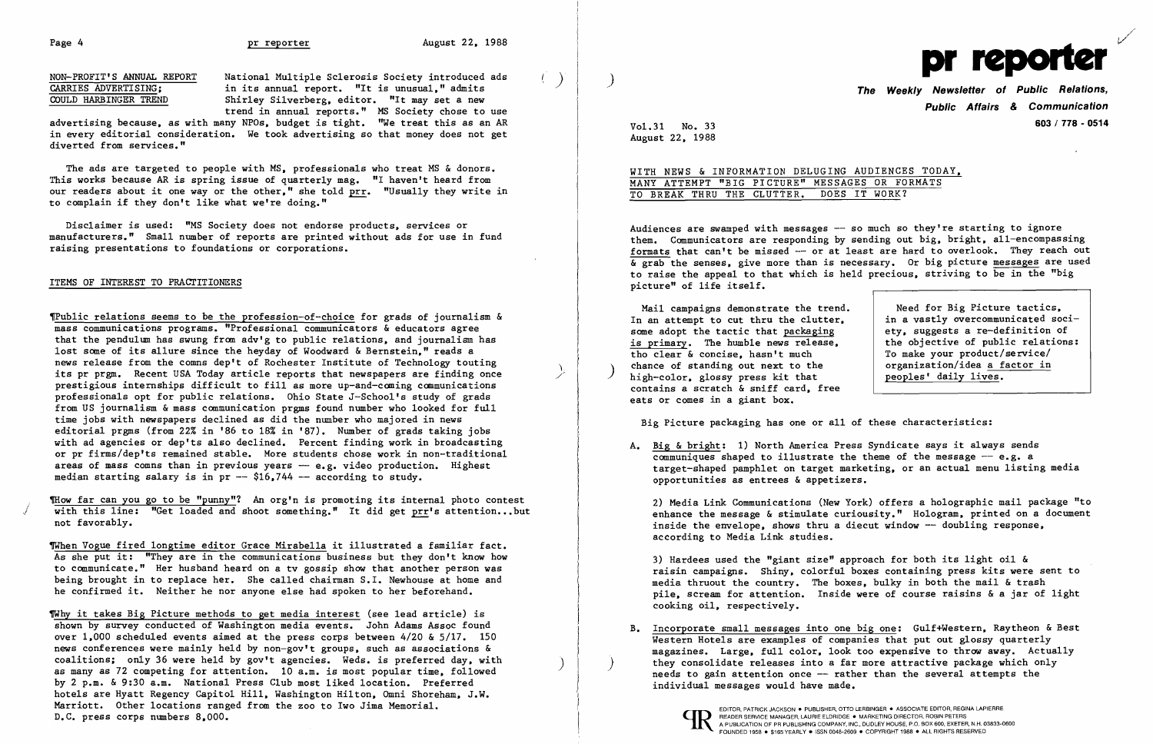Page 4 **pr reporter** August 22, 1988

NON-PROFIT'S ANNUAL REPORT National Multiple Sclerosis Society introduced ads  $\overline{C \text{ARRES} \text{ ADVERTISING}}$ ; in its annual report. "It is unusual." admits  $\overline{C \text{OLD} \text{ HARBINGER} \text{TREND}}$  Shirley Silverberg. editor. "It may set a new Shirley Silverberg, editor. "It may set a new trend in annual reports." MS Society chose to use

advertising because, as with many NPOs, budget is tight. "We treat this as an AR in every editorial consideration. We took advertising so that money does not get diverted from services."

The ads are targeted to people with MS, professionals who treat MS & donors. This works because AR is spring issue of quarterly mag. "I haven't heard from our readers about it one way or the other." she told prr. "Usually they write in to complain if they don't like what we're doing."

~Pub1ic relations seems to be the profession-of-choice for grads of journalism & mass communications programs. "Professional communicators &educators agree that the pendulum has swung from adv'g to public relations. and journalism has lost some of its allure since the heyday of Woodward & Bernstein." reads a news release from the comns dep't of Rochester Institute of Technology touting its pr prgm. Recent USA Today article reports that newspapers are finding once prestigious internships difficult to fill as more up-and-coming communications professionals opt for public relations. Ohio State J-Schoo1's study of grads from US journalism & mass communication prgms found number who looked for full time jobs with newspapers declined as did the number who majored in news editorial prgms (from 22% in '86 to 18% in '87). Number of grads taking jobs with ad agencies or dep'ts also declined. Percent finding work in broadcasting or pr firms/dep'ts remained stable. More students chose work in non-traditional areas of mass comns than in previous years  $-$  e.g. video production. Highest median starting salary is in pr  $-$  \$16,744  $-$  according to study.

Disclaimer is used: "MS Society does not endorse products. services or manufacturers." Small number of reports are printed without ads for use in fund raising presentations to foundations or corporations.

## ITEMS OF INTEREST TO PRACTITIONERS

TWhen Vogue fired longtime editor Grace Mirabella it illustrated a familiar fact. As she put it: "They are in the communications business but they don't know how to communicate." Her husband heard on a tv gossip show that another person was being brought in to replace her. She called chairman S.I. Newhouse at home and he confirmed it. Neither he nor anyone else had spoken to her beforehand.

WITH NEWS & INFORMATION DELUGING AUDIENCES TODAY. MANY ATTEMPT "BIG PICTURE" MESSAGES OR FORMATS TO BREAK THRU THE CLUTTER. DOES IT WORK?

Audiences are swamped with messages  $-$  so much so they're starting to ignore them. Communicators are responding by sending out big, bright, all-encompassing formats that can't be missed -- or at least are hard to overlook. They reach out  $\overline{\mathbf{a}}$  grab the senses, give more than is necessary. Or big picture messages are used to raise the appeal to that which is held precious, striving to be in the "big picture" of life itself.

Mail campaigns demonstrate the trend. In an attempt to cut thru the clutter. in a vastly overcommunicated socisome adopt the tactic that  $\frac{package}{change}$  are-definition of ety. suggests a re-definition of  $\frac{change}{change}$  is primary. The humble news release.  $\frac{1}{10}$  is primary. The humble news release,  $\frac{1}{10}$  the objective of public relations:  $\frac{1}{10}$  the objective of public relations: tho clear  $\&$  concise, hasn't much  $\&$  To make your product/service/<br>
chance of standing out next to the  $\&$  organization/idea a factor in chance of standing out next to the  $\begin{array}{c|c} high-color{4pt} \rightarrowskip\\ high-color{4pt} \rightarrowskip\\ high-color{4pt} \rightarrowskip\\ high-color{4pt} \end{array}$  and  $\begin{array}{c|c} hicharrow{4pt} \rightarrowskip\\ high-color{4pt} \rightarrowskip\\ higharrow{1pt} \end{array}$ contains a scratch & sniff card. free eats or comes in a giant box.

Big Picture packaging has one or all of these characteristics:

~ow far can you go to be "punny"? An org'n is promoting its internal photo contest with this line: "Get loaded and shoot something." It did get prr's attention...but not favorably.

A. Big & bright: 1) North America Press Syndicate says it always sends target-shaped pamphlet on target marketing. or an actual menu listing media

communiques shaped to illustrate the theme of the message  $-$  e.g. a opportunities as entrees & appetizers.

B. Incorporate small messages into one big one: Gulf+Western, Raytheon & Best Western Hotels are examples of companies that put out glossy quarterly magazines. Large. full color. look too expensive to throw away. Actually they consolidate releases into a far more attractive package which only needs to gain attention once -- rather than the several attempts the individual messages would have made.

~hy it takes Big Picture methods to get media interest (see lead article) is shown by survey conducted of Washington media events. John Adams Assoc found over 1.000 scheduled events aimed at the press corps between 4/20 & 5/17. 150 news conferences were mainly held by non-gov't groups. such as associations & coalitions; only 36 were held by gov't agencies. Weds. is preferred day, with<br>as many as 72 competing for attention. 10 a.m. is most popular time, followed as many as 72 competing for attention. 10 a.m. is most popular time, followed<br>by 2 p.m. & 9:30 a.m. National Press Club most liked location. Preferred hotels are Hyatt Regency Capitol Hill. Washington Hilton. Omni Shoreham. J.W. Marriott. Other locations ranged from the zoo to Iwo Jima Memorial. D.C. press corps numbers 8.000.

**Public Affairs & Communication**  Vol. **603/ 778 - <sup>0514</sup>** 31 No. 33

Need for Big Picture tactics,<br>in a vastly overcommunicated soci-

August 22. 1988



2) Media Link Communications (New York) offers a holographic mail package "to enhance the message & stimulate curiousity." Hologram. printed on a document inside the envelope, shows thru a diecut window  $-$  doubling response, according to Media Link studies.

3) Hardees used the "giant size" approach for both its light oil & raisin campaigns. Shiny. colorful boxes containing press kits were sent to media thruout the country. The boxes. bulky in both the mail & trash pile. scream for attention. Inside were of course raisins & a jar of light cooking oil. respectively.

-/"